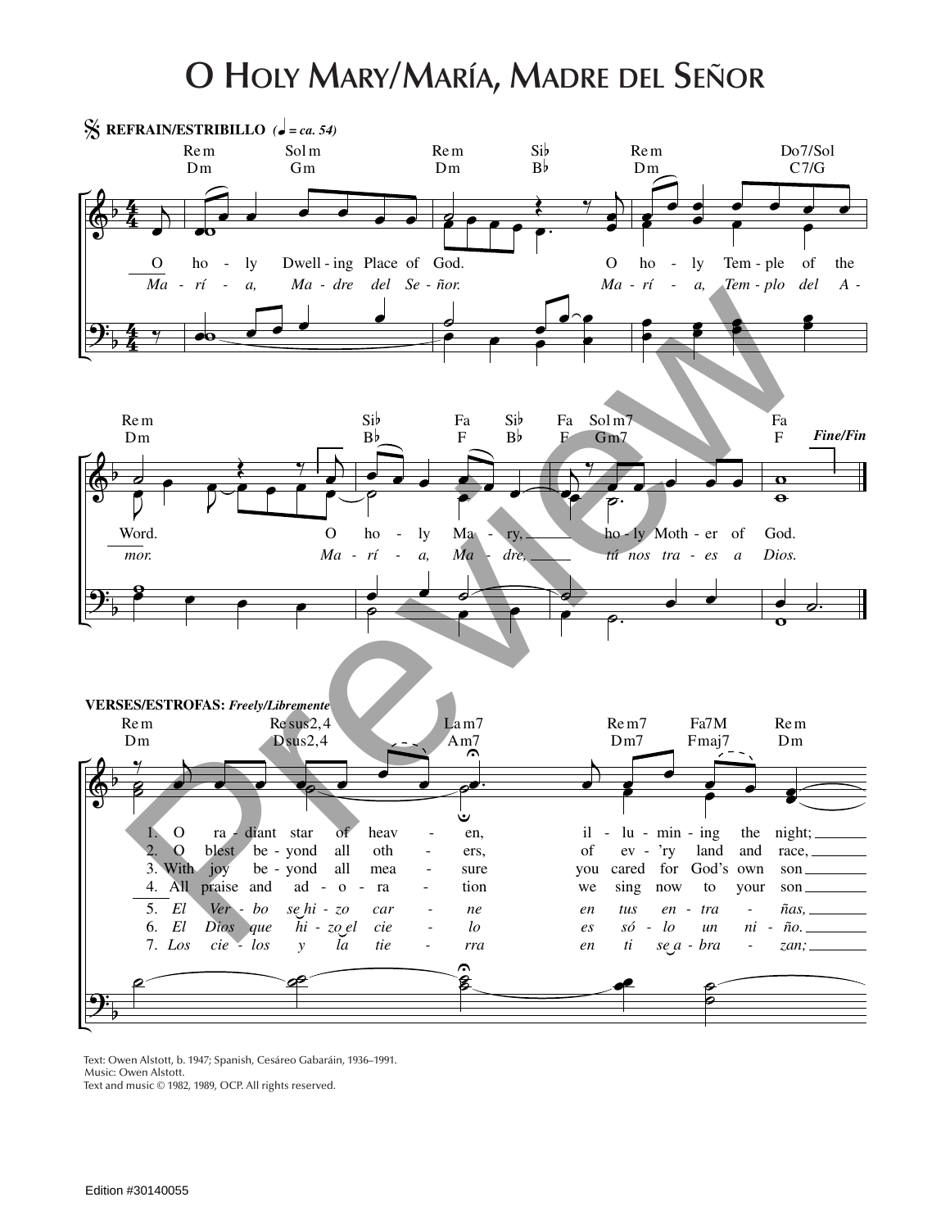## **O Holy Mary/María, Madre del Señor**



Text: Owen Alstott, b. 1947; Spanish, Cesáreo Gabaráin, 1936–1991. Music: Owen Alstott. Text and music © 1982, 1989, OCP. All rights reserved.